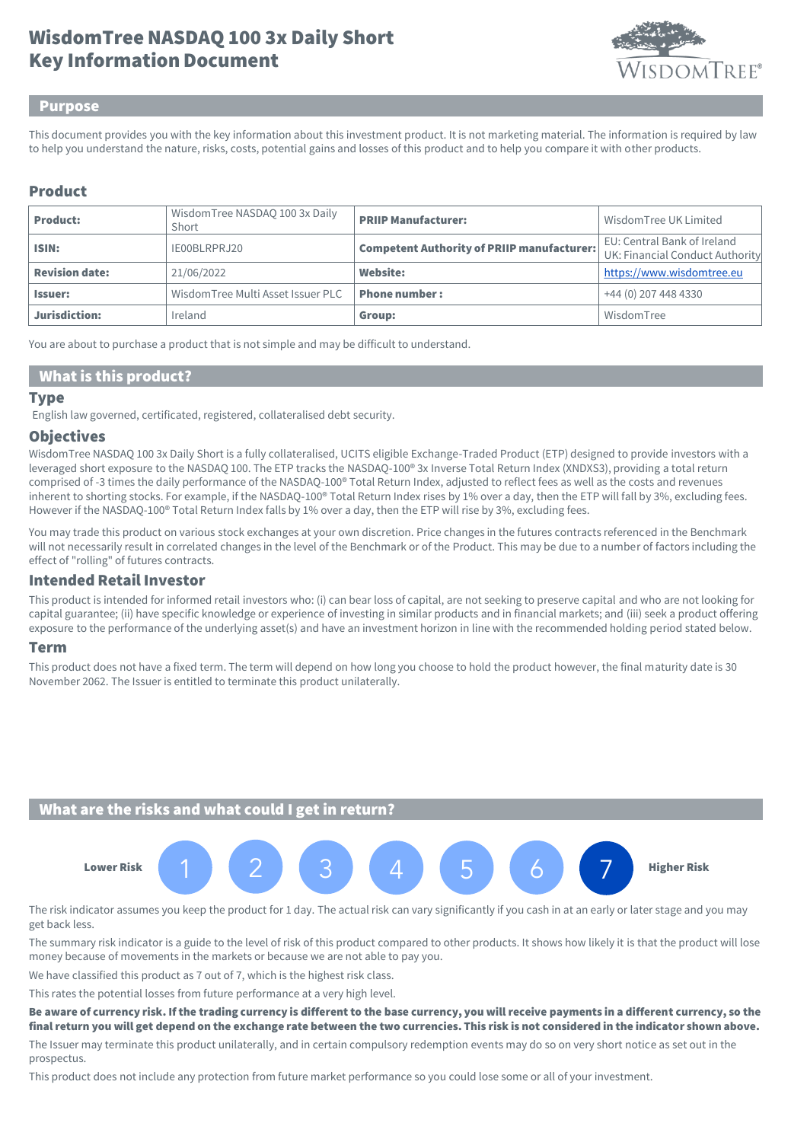# Key Information Document WisdomTree NASDAQ 100 3x Daily Short



#### Purpose

This document provides you with the key information about this investment product. It is not marketing material. The information is required by law to help you understand the nature, risks, costs, potential gains and losses of this product and to help you compare it with other products.

## Product

| <b>Product:</b>       | WisdomTree NASDAQ 100 3x Daily<br>Short | <b>PRIIP Manufacturer:</b>                        | Wisdom Tree UK Limited                                         |
|-----------------------|-----------------------------------------|---------------------------------------------------|----------------------------------------------------------------|
| ISIN:                 | IE00BLRPRJ20                            | <b>Competent Authority of PRIIP manufacturer:</b> | EU: Central Bank of Ireland<br>UK: Financial Conduct Authority |
| <b>Revision date:</b> | 21/06/2022                              | <b>Website:</b>                                   | https://www.wisdomtree.eu                                      |
| <b>Issuer:</b>        | Wisdom Tree Multi Asset Issuer PLC      | <b>Phone number:</b>                              | +44 (0) 207 448 4330                                           |
| Jurisdiction:         | Ireland                                 | Group:                                            | WisdomTree                                                     |

You are about to purchase a product that is not simple and may be difficult to understand.

## What is this product?

#### **Type**

English law governed, certificated, registered, collateralised debt security.

#### **Objectives**

WisdomTree NASDAQ 100 3x Daily Short is a fully collateralised, UCITS eligible Exchange-Traded Product (ETP) designed to provide investors with a leveraged short exposure to the NASDAQ 100. The ETP tracks the NASDAQ-100® 3x Inverse Total Return Index (XNDXS3), providing a total return comprised of -3 times the daily performance of the NASDAQ-100® Total Return Index, adjusted to reflect fees as well as the costs and revenues inherent to shorting stocks. For example, if the NASDAQ-100® Total Return Index rises by 1% over a day, then the ETP will fall by 3%, excluding fees. However if the NASDAQ-100® Total Return Index falls by 1% over a day, then the ETP will rise by 3%, excluding fees.

You may trade this product on various stock exchanges at your own discretion. Price changes in the futures contracts referenced in the Benchmark will not necessarily result in correlated changes in the level of the Benchmark or of the Product. This may be due to a number of factors including the effect of "rolling" of futures contracts.

### Intended Retail Investor

This product is intended for informed retail investors who: (i) can bear loss of capital, are not seeking to preserve capital and who are not looking for capital guarantee; (ii) have specific knowledge or experience of investing in similar products and in financial markets; and (iii) seek a product offering exposure to the performance of the underlying asset(s) and have an investment horizon in line with the recommended holding period stated below.

#### Term

This product does not have a fixed term. The term will depend on how long you choose to hold the product however, the final maturity date is 30 November 2062. The Issuer is entitled to terminate this product unilaterally.

## What are the risks and what could I get in return?



The risk indicator assumes you keep the product for 1 day. The actual risk can vary significantly if you cash in at an early or later stage and you may get back less.

The summary risk indicator is a guide to the level of risk of this product compared to other products. It shows how likely it is that the product will lose money because of movements in the markets or because we are not able to pay you.

We have classified this product as 7 out of 7, which is the highest risk class.

This rates the potential losses from future performance at a very high level.

Be aware of currency risk. If the trading currency is different to the base currency, you will receive payments in a different currency, so the final return you will get depend on the exchange rate between the two currencies. This risk is not considered in the indicator shown above.

The Issuer may terminate this product unilaterally, and in certain compulsory redemption events may do so on very short notice as set out in the prospectus.

This product does not include any protection from future market performance so you could lose some or all of your investment.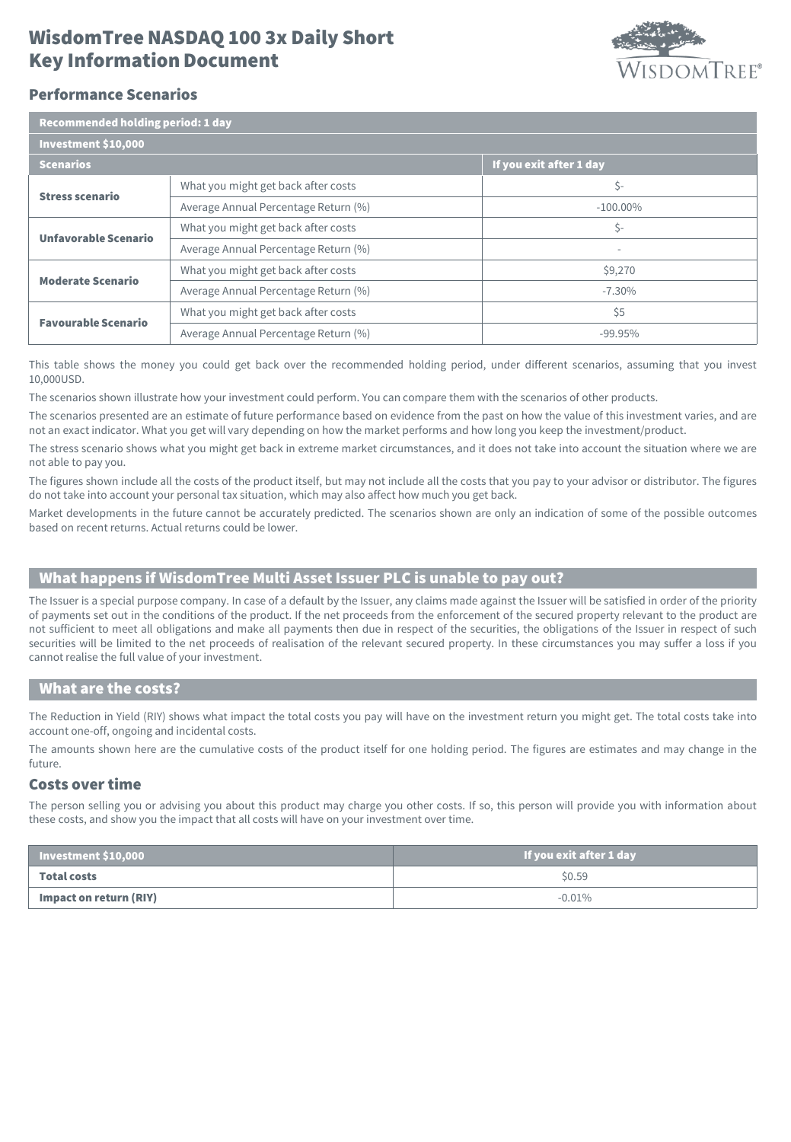# Key Information Document WisdomTree NASDAQ 100 3x Daily Short



## Performance Scenarios

| Recommended holding period: 1 day |                                      |                          |  |  |
|-----------------------------------|--------------------------------------|--------------------------|--|--|
| Investment \$10,000               |                                      |                          |  |  |
| <b>Scenarios</b>                  |                                      | If you exit after 1 day  |  |  |
| <b>Stress scenario</b>            | What you might get back after costs  | \$-                      |  |  |
|                                   | Average Annual Percentage Return (%) | $-100.00\%$              |  |  |
| Unfavorable Scenario              | What you might get back after costs  | \$-                      |  |  |
|                                   | Average Annual Percentage Return (%) | $\overline{\phantom{a}}$ |  |  |
| <b>Moderate Scenario</b>          | What you might get back after costs  | \$9,270                  |  |  |
|                                   | Average Annual Percentage Return (%) | $-7.30\%$                |  |  |
| <b>Favourable Scenario</b>        | What you might get back after costs  | \$5                      |  |  |
|                                   | Average Annual Percentage Return (%) | $-99.95%$                |  |  |

This table shows the money you could get back over the recommended holding period, under different scenarios, assuming that you invest 10,000USD.

The scenarios shown illustrate how your investment could perform. You can compare them with the scenarios of other products.

The scenarios presented are an estimate of future performance based on evidence from the past on how the value of this investment varies, and are not an exact indicator. What you get will vary depending on how the market performs and how long you keep the investment/product.

The stress scenario shows what you might get back in extreme market circumstances, and it does not take into account the situation where we are not able to pay you.

The figures shown include all the costs of the product itself, but may not include all the costs that you pay to your advisor or distributor. The figures do not take into account your personal tax situation, which may also affect how much you get back.

Market developments in the future cannot be accurately predicted. The scenarios shown are only an indication of some of the possible outcomes based on recent returns. Actual returns could be lower.

# What happens if WisdomTree Multi Asset Issuer PLC is unable to pay out?

The Issuer is a special purpose company. In case of a default by the Issuer, any claims made against the Issuer will be satisfied in order of the priority of payments set out in the conditions of the product. If the net proceeds from the enforcement of the secured property relevant to the product are not sufficient to meet all obligations and make all payments then due in respect of the securities, the obligations of the Issuer in respect of such securities will be limited to the net proceeds of realisation of the relevant secured property. In these circumstances you may suffer a loss if you cannot realise the full value of your investment.

#### What are the costs?

The Reduction in Yield (RIY) shows what impact the total costs you pay will have on the investment return you might get. The total costs take into account one-off, ongoing and incidental costs.

The amounts shown here are the cumulative costs of the product itself for one holding period. The figures are estimates and may change in the future.

## Costs over time

The person selling you or advising you about this product may charge you other costs. If so, this person will provide you with information about these costs, and show you the impact that all costs will have on your investment over time.

| $\vert$ Investment \$10,000 $\vert$ | If you exit after 1 day |
|-------------------------------------|-------------------------|
| Total costs                         | \$0.59                  |
| Impact on return (RIY)              | $-0.01\%$               |